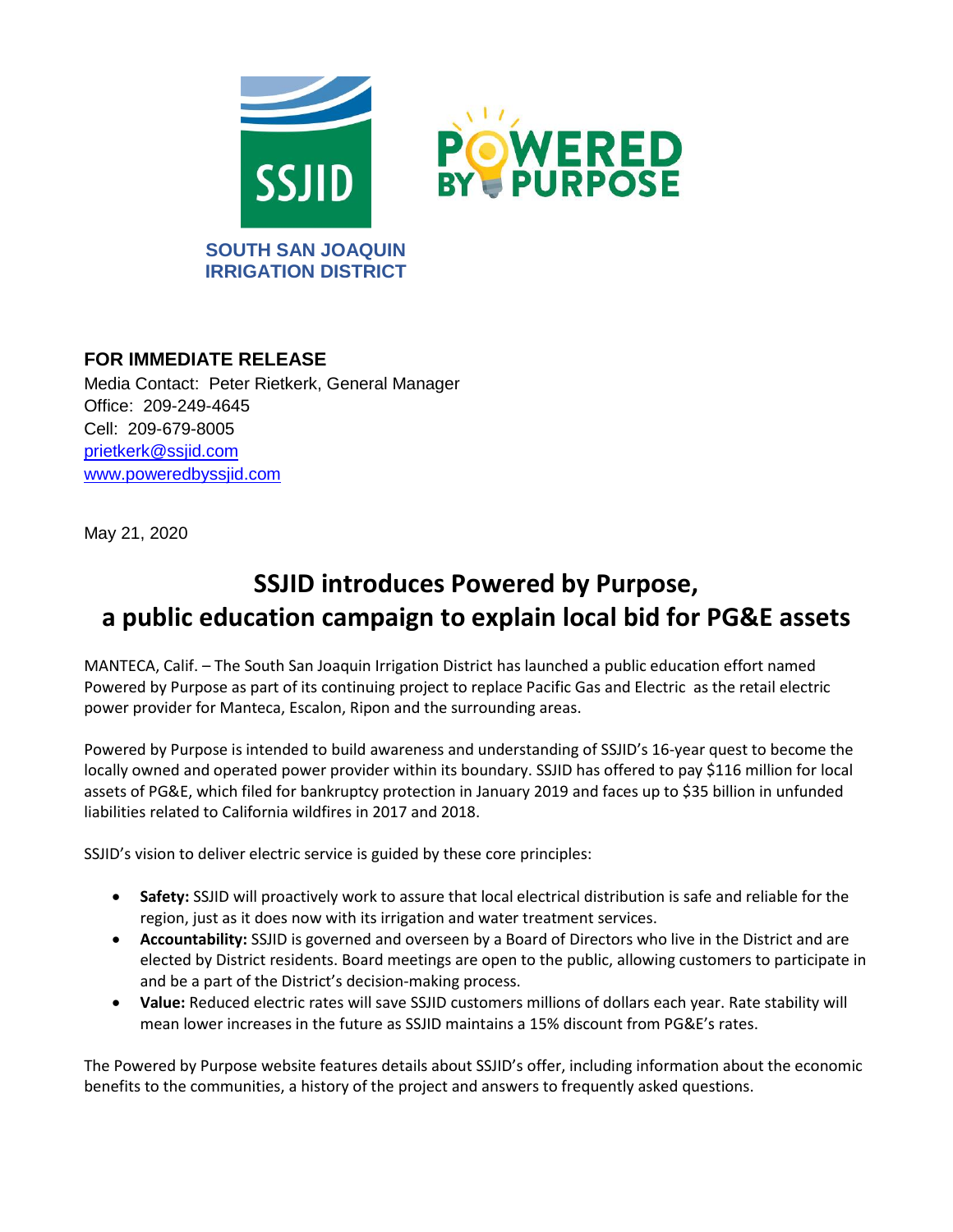

## **FOR IMMEDIATE RELEASE**

Media Contact: Peter Rietkerk, General Manager Office: 209-249-4645 Cell: 209-679-8005 [prietkerk@ssjid.com](mailto:prietkerk@ssjid.com) [www.poweredbyssjid.com](http://www.poweredbyssjid.com/)

May 21, 2020

## **SSJID introduces Powered by Purpose, a public education campaign to explain local bid for PG&E assets**

MANTECA, Calif. – The South San Joaquin Irrigation District has launched a public education effort named Powered by Purpose as part of its continuing project to replace Pacific Gas and Electric as the retail electric power provider for Manteca, Escalon, Ripon and the surrounding areas.

Powered by Purpose is intended to build awareness and understanding of SSJID's 16-year quest to become the locally owned and operated power provider within its boundary. SSJID has offered to pay \$116 million for local assets of PG&E, which filed for bankruptcy protection in January 2019 and faces up to \$35 billion in unfunded liabilities related to California wildfires in 2017 and 2018.

SSJID's vision to deliver electric service is guided by these core principles:

- **Safety:** SSJID will proactively work to assure that local electrical distribution is safe and reliable for the region, just as it does now with its irrigation and water treatment services.
- **Accountability:** SSJID is governed and overseen by a Board of Directors who live in the District and are elected by District residents. Board meetings are open to the public, allowing customers to participate in and be a part of the District's decision-making process.
- **Value:** Reduced electric rates will save SSJID customers millions of dollars each year. Rate stability will mean lower increases in the future as SSJID maintains a 15% discount from PG&E's rates.

The Powered by Purpose website features details about SSJID's offer, including information about the economic benefits to the communities, a history of the project and answers to frequently asked questions.